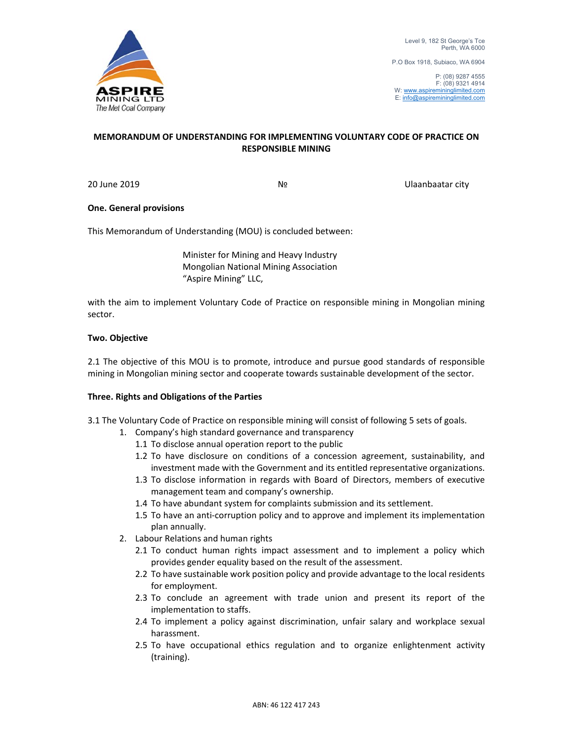

P.O Box 1918, Subiaco, WA 6904

# **MEMORANDUM OF UNDERSTANDING FOR IMPLEMENTING VOLUNTARY CODE OF PRACTICE ON RESPONSIBLE MINING**

20 June 2019 № Ulaanbaatar city

## **One. General provisions**

This Memorandum of Understanding (MOU) is concluded between:

 Minister for Mining and Heavy Industry Mongolian National Mining Association "Aspire Mining" LLC,

with the aim to implement Voluntary Code of Practice on responsible mining in Mongolian mining sector.

## **Two. Objective**

2.1 The objective of this MOU is to promote, introduce and pursue good standards of responsible mining in Mongolian mining sector and cooperate towards sustainable development of the sector.

### **Three. Rights and Obligations of the Parties**

3.1 The Voluntary Code of Practice on responsible mining will consist of following 5 sets of goals.

- 1. Company's high standard governance and transparency
	- 1.1 To disclose annual operation report to the public
	- 1.2 To have disclosure on conditions of a concession agreement, sustainability, and investment made with the Government and its entitled representative organizations.
	- 1.3 To disclose information in regards with Board of Directors, members of executive management team and company's ownership.
	- 1.4 To have abundant system for complaints submission and its settlement.
	- 1.5 To have an anti‐corruption policy and to approve and implement its implementation plan annually.
- 2. Labour Relations and human rights
	- 2.1 To conduct human rights impact assessment and to implement a policy which provides gender equality based on the result of the assessment.
	- 2.2 To have sustainable work position policy and provide advantage to the local residents for employment.
	- 2.3 To conclude an agreement with trade union and present its report of the implementation to staffs.
	- 2.4 To implement a policy against discrimination, unfair salary and workplace sexual harassment.
	- 2.5 To have occupational ethics regulation and to organize enlightenment activity (training).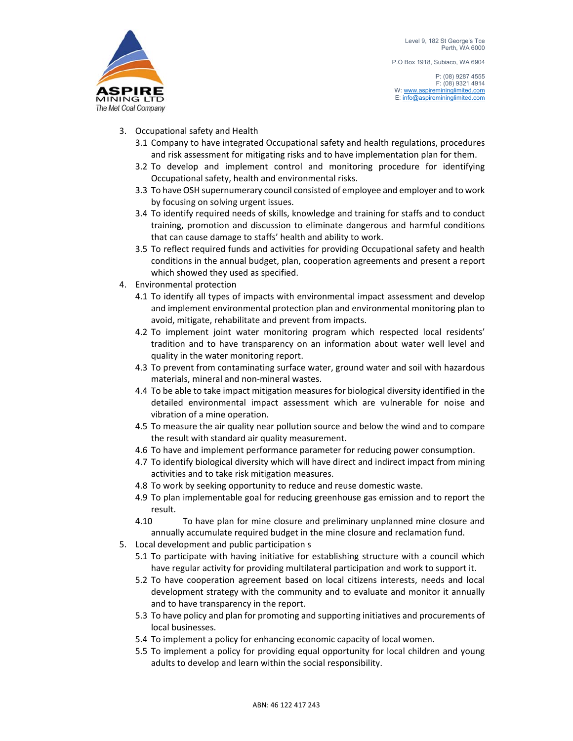P.O Box 1918, Subiaco, WA 6904

- 3. Occupational safety and Health
	- 3.1 Company to have integrated Occupational safety and health regulations, procedures and risk assessment for mitigating risks and to have implementation plan for them.
	- 3.2 To develop and implement control and monitoring procedure for identifying Occupational safety, health and environmental risks.
	- 3.3 To have OSH supernumerary council consisted of employee and employer and to work by focusing on solving urgent issues.
	- 3.4 To identify required needs of skills, knowledge and training for staffs and to conduct training, promotion and discussion to eliminate dangerous and harmful conditions that can cause damage to staffs' health and ability to work.
	- 3.5 To reflect required funds and activities for providing Occupational safety and health conditions in the annual budget, plan, cooperation agreements and present a report which showed they used as specified.
- 4. Environmental protection
	- 4.1 To identify all types of impacts with environmental impact assessment and develop and implement environmental protection plan and environmental monitoring plan to avoid, mitigate, rehabilitate and prevent from impacts.
	- 4.2 To implement joint water monitoring program which respected local residents' tradition and to have transparency on an information about water well level and quality in the water monitoring report.
	- 4.3 To prevent from contaminating surface water, ground water and soil with hazardous materials, mineral and non‐mineral wastes.
	- 4.4 To be able to take impact mitigation measures for biological diversity identified in the detailed environmental impact assessment which are vulnerable for noise and vibration of a mine operation.
	- 4.5 To measure the air quality near pollution source and below the wind and to compare the result with standard air quality measurement.
	- 4.6 To have and implement performance parameter for reducing power consumption.
	- 4.7 To identify biological diversity which will have direct and indirect impact from mining activities and to take risk mitigation measures.
	- 4.8 To work by seeking opportunity to reduce and reuse domestic waste.
	- 4.9 To plan implementable goal for reducing greenhouse gas emission and to report the result.
	- 4.10 To have plan for mine closure and preliminary unplanned mine closure and annually accumulate required budget in the mine closure and reclamation fund.
- 5. Local development and public participation s
	- 5.1 To participate with having initiative for establishing structure with a council which have regular activity for providing multilateral participation and work to support it.
	- 5.2 To have cooperation agreement based on local citizens interests, needs and local development strategy with the community and to evaluate and monitor it annually and to have transparency in the report.
	- 5.3 To have policy and plan for promoting and supporting initiatives and procurements of local businesses.
	- 5.4 To implement a policy for enhancing economic capacity of local women.
	- 5.5 To implement a policy for providing equal opportunity for local children and young adults to develop and learn within the social responsibility.